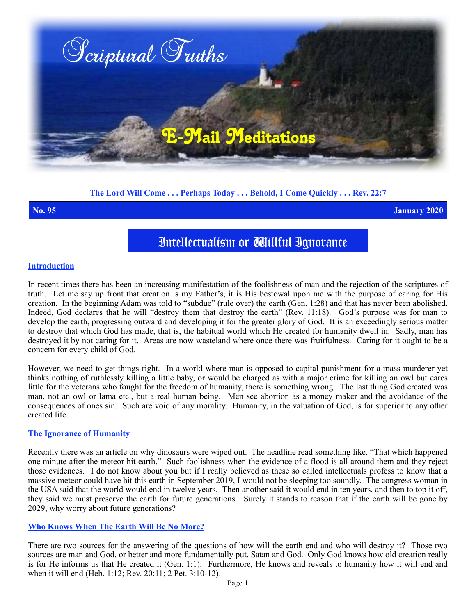

# **The Lord Will Come . . . Perhaps Today . . . Behold, I Come Quickly . . . Rev. 22:7**

**No. 95 January 2020**

# Intellectualism or Willful Ignorance

### **Introduction**

In recent times there has been an increasing manifestation of the foolishness of man and the rejection of the scriptures of truth. Let me say up front that creation is my Father's, it is His bestowal upon me with the purpose of caring for His creation. In the beginning Adam was told to "subdue" (rule over) the earth (Gen. 1:28) and that has never been abolished. Indeed, God declares that he will "destroy them that destroy the earth" (Rev. 11:18). God's purpose was for man to develop the earth, progressing outward and developing it for the greater glory of God. It is an exceedingly serious matter to destroy that which God has made, that is, the habitual world which He created for humanity dwell in. Sadly, man has destroyed it by not caring for it. Areas are now wasteland where once there was fruitfulness. Caring for it ought to be a concern for every child of God.

However, we need to get things right. In a world where man is opposed to capital punishment for a mass murderer yet thinks nothing of ruthlessly killing a little baby, or would be charged as with a major crime for killing an owl but cares little for the veterans who fought for the freedom of humanity, there is something wrong. The last thing God created was man, not an owl or lama etc., but a real human being. Men see abortion as a money maker and the avoidance of the consequences of ones sin. Such are void of any morality. Humanity, in the valuation of God, is far superior to any other created life.

# **The Ignorance of Humanity**

Recently there was an article on why dinosaurs were wiped out. The headline read something like, "That which happened one minute after the meteor hit earth." Such foolishness when the evidence of a flood is all around them and they reject those evidences. I do not know about you but if I really believed as these so called intellectuals profess to know that a massive meteor could have hit this earth in September 2019, I would not be sleeping too soundly. The congress woman in the USA said that the world would end in twelve years. Then another said it would end in ten years, and then to top it off, they said we must preserve the earth for future generations. Surely it stands to reason that if the earth will be gone by 2029, why worry about future generations?

# **Who Knows When The Earth Will Be No More?**

There are two sources for the answering of the questions of how will the earth end and who will destroy it? Those two sources are man and God, or better and more fundamentally put, Satan and God. Only God knows how old creation really is for He informs us that He created it (Gen. 1:1). Furthermore, He knows and reveals to humanity how it will end and when it will end (Heb. 1:12; Rev. 20:11; 2 Pet. 3:10-12).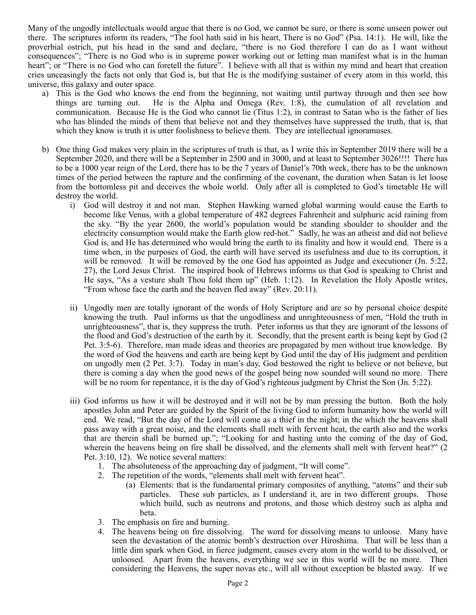Many of the ungodly intellectuals would argue that there is no God, we cannot be sure, or there is some unseen power out there. The scriptures inform its readers, "The fool hath said in his heart, There is no God" (Psa. 14:1). He will, like the proverbial ostrich, put his head in the sand and declare, "there is no God therefore I can do as I want without consequences"; "There is no God who is in supreme power working out or letting man manifest what is in the human heart"; or "There is no God who can foretell the future". I believe with all that is within my mind and heart that creation cries unceasingly the facts not only that God is, but that He is the modifying sustainer of every atom in this world, this universe, this galaxy and outer space.

- a) This is the God who knows the end from the beginning, not waiting until partway through and then see how things are turning out. He is the Alpha and Omega (Rev. 1:8), the cumulation of all revelation and communication. Because He is the God who cannot lie (Titus 1:2), in contrast to Satan who is the father of lies who has blinded the minds of them that believe not and they themselves have suppressed the truth, that is, that which they know is truth it is utter foolishness to believe them. They are intellectual ignoramuses.
- b) One thing God makes very plain in the scriptures of truth is that, as I write this in September 2019 there will be a September 2020, and there will be a September in 2500 and in 3000, and at least to September 3026!!!! There has to be a 1000 year reign of the Lord, there has to be the 7 years of Daniel's 70th week, there has to be the unknown times of the period between the rapture and the confirming of the covenant, the duration when Satan is let loose from the bottomless pit and deceives the whole world. Only after all is completed to God's timetable He will destroy the world.
	- i) God will destroy it and not man. Stephen Hawking warned global warming would cause the Earth to become like Venus, with a global temperature of 482 degrees Fahrenheit and sulphuric acid raining from the sky. "By the year 2600, the world's population would be standing shoulder to shoulder and the electricity consumption would make the Earth glow red-hot." Sadly, he was an atheist and did not believe God is, and He has determined who would bring the earth to its finality and how it would end. There is a time when, in the purposes of God, the earth will have served its usefulness and due to its corruption, it will be removed. It will be removed by the one God has appointed as Judge and executioner (Jn. 5:22, 27), the Lord Jesus Christ. The inspired book of Hebrews informs us that God is speaking to Christ and He says, "As a vesture shalt Thou fold them up" (Heb. 1:12). In Revelation the Holy Apostle writes, "From whose face the earth and the heaven fled away" (Rev. 20:11).
	- ii) Ungodly men are totally ignorant of the words of Holy Scripture and are so by personal choice despite knowing the truth. Paul informs us that the ungodliness and unrighteousness of men, "Hold the truth in unrighteousness", that is, they suppress the truth. Peter informs us that they are ignorant of the lessons of the flood and God's destruction of the earth by it. Secondly, that the present earth is being kept by God (2 Pet. 3:5-6). Therefore, man made ideas and theories are propagated by men without true knowledge. By the word of God the heavens and earth are being kept by God until the day of His judgment and perdition on ungodly men (2 Pet. 3:7). Today in man's day, God bestowed the right to believe or not believe, but there is coming a day when the good news of the gospel being now sounded will sound no more. There will be no room for repentance, it is the day of God's righteous judgment by Christ the Son (Jn. 5:22).
	- iii) God informs us how it will be destroyed and it will not be by man pressing the button. Both the holy apostles John and Peter are guided by the Spirit of the living God to inform humanity how the world will end. We read, "But the day of the Lord will come as a thief in the night; in the which the heavens shall pass away with a great noise, and the elements shall melt with fervent heat, the earth also and the works that are therein shall be burned up."; "Looking for and hasting unto the coming of the day of God, wherein the heavens being on fire shall be dissolved, and the elements shall melt with fervent heat?" (2 Pet. 3:10, 12). We notice several matters:
		- 1. The absoluteness of the approaching day of judgment, "It will come".
		- 2. The repetition of the words, "elements shall melt with fervent heat".
			- (a) Elements: that is the fundamental primary composites of anything, "atoms" and their sub particles. These sub particles, as I understand it, are in two different groups. Those which build, such as neutrons and protons, and those which destroy such as alpha and beta.
		- 3. The emphasis on fire and burning.
		- 4. The heavens being on fire dissolving. The word for dissolving means to unloose. Many have seen the devastation of the atomic bomb's destruction over Hiroshima. That will be less than a little dim spark when God, in fierce judgment, causes every atom in the world to be dissolved, or unloosed. Apart from the heavens, everything we see in this world will be no more. Then considering the Heavens, the super novas etc., will all without exception be blasted away. If we